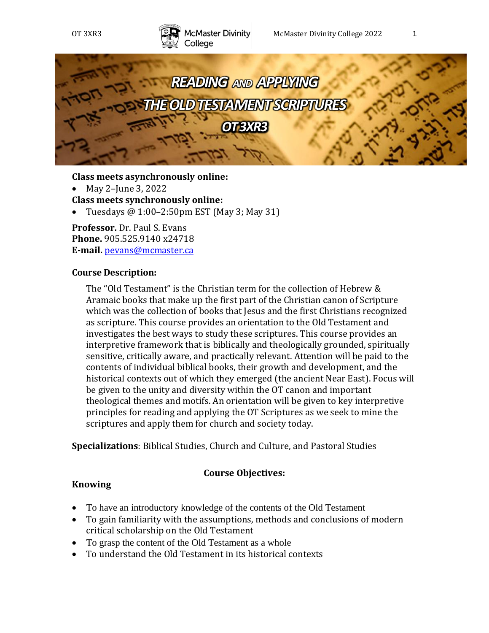



**Class meets asynchronously online:**

• May 2-June 3, 2022

**Class meets synchronously online:**

• Tuesdays  $@1:00-2:50 \text{pm EST}$  (May 3; May 31)

**Professor.** Dr. Paul S. Evans **Phone.** 905.525.9140 x24718 **E-mail.** [pevans@mcmaster.ca](mailto:pevans@mcmaster.ca)

#### **Course Description:**

The "Old Testament" is the Christian term for the collection of Hebrew & Aramaic books that make up the first part of the Christian canon of Scripture which was the collection of books that Jesus and the first Christians recognized as scripture. This course provides an orientation to the Old Testament and investigates the best ways to study these scriptures. This course provides an interpretive framework that is biblically and theologically grounded, spiritually sensitive, critically aware, and practically relevant. Attention will be paid to the contents of individual biblical books, their growth and development, and the historical contexts out of which they emerged (the ancient Near East). Focus will be given to the unity and diversity within the OT canon and important theological themes and motifs. An orientation will be given to key interpretive principles for reading and applying the OT Scriptures as we seek to mine the scriptures and apply them for church and society today.

**Specializations**: Biblical Studies, Church and Culture, and Pastoral Studies

#### **Course Objectives:**

# **Knowing**

- To have an introductory knowledge of the contents of the Old Testament
- To gain familiarity with the assumptions, methods and conclusions of modern critical scholarship on the Old Testament
- To grasp the content of the Old Testament as a whole
- To understand the Old Testament in its historical contexts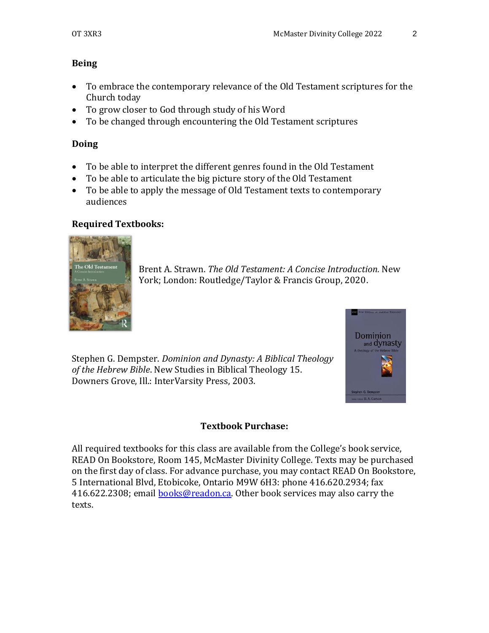# **Being**

- To embrace the contemporary relevance of the Old Testament scriptures for the Church today
- To grow closer to God through study of his Word
- To be changed through encountering the Old Testament scriptures

# **Doing**

- To be able to interpret the different genres found in the Old Testament
- To be able to articulate the big picture story of the Old Testament
- To be able to apply the message of Old Testament texts to contemporary audiences

# **Required Textbooks:**



Brent A. Strawn. *The Old Testament: A Concise Introduction.* New York; London: Routledge/Taylor & Francis Group, 2020.

Stephen G. Dempster. *Dominion and Dynasty: A Biblical Theology of the Hebrew Bible*. New Studies in Biblical Theology 15. Downers Grove, Ill.: InterVarsity Press, 2003.

# **Textbook Purchase:**

All required textbooks for this class are available from the College's book service, READ On Bookstore, Room 145, McMaster Divinity College. Texts may be purchased on the first day of class. For advance purchase, you may contact READ On Bookstore, 5 International Blvd, Etobicoke, Ontario M9W 6H3: phone 416.620.2934; fax 416.622.2308; email **books@readon.ca**. Other book services may also carry the texts.

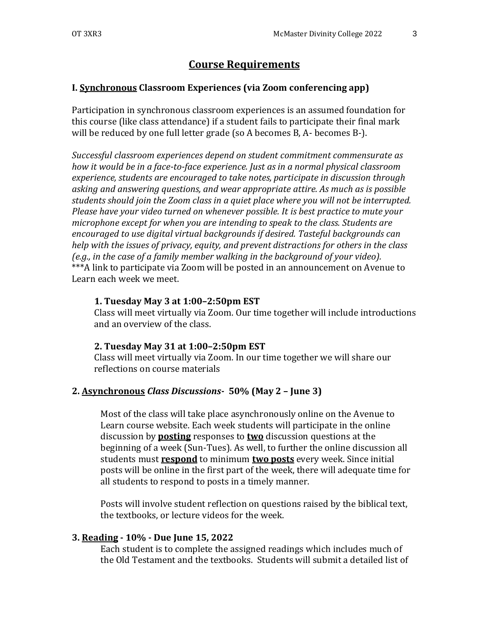# **Course Requirements**

#### **I. Synchronous Classroom Experiences (via Zoom conferencing app)**

Participation in synchronous classroom experiences is an assumed foundation for this course (like class attendance) if a student fails to participate their final mark will be reduced by one full letter grade (so A becomes B, A- becomes B-).

*Successful classroom experiences depend on student commitment commensurate as how it would be in a face-to-face experience. Just as in a normal physical classroom experience, students are encouraged to take notes, participate in discussion through asking and answering questions, and wear appropriate attire. As much as is possible students should join the Zoom class in a quiet place where you will not be interrupted. Please have your video turned on whenever possible. It is best practice to mute your microphone except for when you are intending to speak to the class. Students are encouraged to use digital virtual backgrounds if desired. Tasteful backgrounds can help with the issues of privacy, equity, and prevent distractions for others in the class (e.g., in the case of a family member walking in the background of your video).* \*\*\*A link to participate via Zoom will be posted in an announcement on Avenue to Learn each week we meet.

#### **1. Tuesday May 3 at 1:00–2:50pm EST**

Class will meet virtually via Zoom. Our time together will include introductions and an overview of the class.

#### **2. Tuesday May 31 at 1:00–2:50pm EST**

Class will meet virtually via Zoom. In our time together we will share our reflections on course materials

#### **2. Asynchronous** *Class Discussions-* **50% (May 2 – June 3)**

Most of the class will take place asynchronously online on the Avenue to Learn course website. Each week students will participate in the online discussion by **posting** responses to **two** discussion questions at the beginning of a week (Sun-Tues). As well, to further the online discussion all students must **respond** to minimum **two posts** every week. Since initial posts will be online in the first part of the week, there will adequate time for all students to respond to posts in a timely manner.

Posts will involve student reflection on questions raised by the biblical text, the textbooks, or lecture videos for the week.

#### **3. Reading - 10% - Due June 15, 2022**

Each student is to complete the assigned readings which includes much of the Old Testament and the textbooks. Students will submit a detailed list of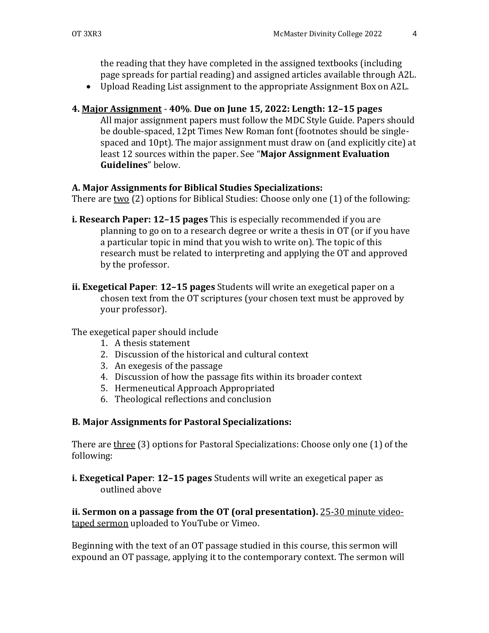the reading that they have completed in the assigned textbooks (including page spreads for partial reading) and assigned articles available through A2L.

• Upload Reading List assignment to the appropriate Assignment Box on A2L.

# **4. Major Assignment** - **40%**. **Due on June 15, 2022: Length: 12–15 pages**

All major assignment papers must follow the MDC Style Guide. Papers should be double-spaced, 12pt Times New Roman font (footnotes should be singlespaced and 10pt). The major assignment must draw on (and explicitly cite) at least 12 sources within the paper. See "**Major Assignment Evaluation Guidelines**" below.

# **A. Major Assignments for Biblical Studies Specializations:**

There are two (2) options for Biblical Studies: Choose only one (1) of the following:

- **i. Research Paper: 12–15 pages** This is especially recommended if you are planning to go on to a research degree or write a thesis in OT (or if you have a particular topic in mind that you wish to write on). The topic of this research must be related to interpreting and applying the OT and approved by the professor.
- **ii. Exegetical Paper**: **12–15 pages** Students will write an exegetical paper on a chosen text from the OT scriptures (your chosen text must be approved by your professor).

The exegetical paper should include

- 1. A thesis statement
- 2. Discussion of the historical and cultural context
- 3. An exegesis of the passage
- 4. Discussion of how the passage fits within its broader context
- 5. Hermeneutical Approach Appropriated
- 6. Theological reflections and conclusion

# **B. Major Assignments for Pastoral Specializations:**

There are three (3) options for Pastoral Specializations: Choose only one (1) of the following:

**i. Exegetical Paper**: **12–15 pages** Students will write an exegetical paper as outlined above

**ii. Sermon on a passage from the OT (oral presentation).** 25-30 minute videotaped sermon uploaded to YouTube or Vimeo.

Beginning with the text of an OT passage studied in this course, this sermon will expound an OT passage, applying it to the contemporary context. The sermon will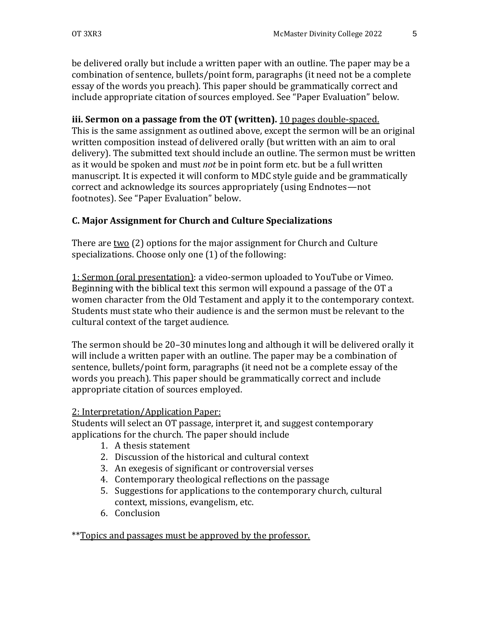be delivered orally but include a written paper with an outline. The paper may be a combination of sentence, bullets/point form, paragraphs (it need not be a complete essay of the words you preach). This paper should be grammatically correct and include appropriate citation of sources employed. See "Paper Evaluation" below.

# **iii. Sermon on a passage from the OT (written).** 10 pages double-spaced.

This is the same assignment as outlined above, except the sermon will be an original written composition instead of delivered orally (but written with an aim to oral delivery). The submitted text should include an outline. The sermon must be written as it would be spoken and must *not* be in point form etc. but be a full written manuscript. It is expected it will conform to MDC style guide and be grammatically correct and acknowledge its sources appropriately (using Endnotes—not footnotes). See "Paper Evaluation" below.

# **C. Major Assignment for Church and Culture Specializations**

There are two (2) options for the major assignment for Church and Culture specializations. Choose only one (1) of the following:

1: Sermon (oral presentation): a video-sermon uploaded to YouTube or Vimeo. Beginning with the biblical text this sermon will expound a passage of the OT a women character from the Old Testament and apply it to the contemporary context. Students must state who their audience is and the sermon must be relevant to the cultural context of the target audience.

The sermon should be 20–30 minutes long and although it will be delivered orally it will include a written paper with an outline. The paper may be a combination of sentence, bullets/point form, paragraphs (it need not be a complete essay of the words you preach). This paper should be grammatically correct and include appropriate citation of sources employed.

# 2: Interpretation/Application Paper:

Students will select an OT passage, interpret it, and suggest contemporary applications for the church. The paper should include

- 1. A thesis statement
- 2. Discussion of the historical and cultural context
- 3. An exegesis of significant or controversial verses
- 4. Contemporary theological reflections on the passage
- 5. Suggestions for applications to the contemporary church, cultural context, missions, evangelism, etc.
- 6. Conclusion

\*\*Topics and passages must be approved by the professor.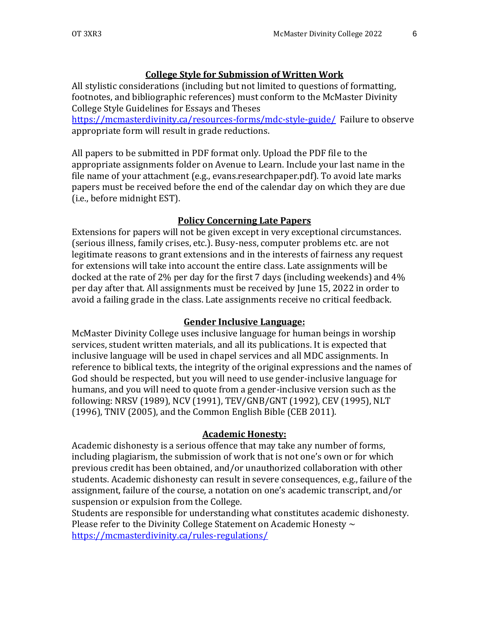# **College Style for Submission of Written Work**

All stylistic considerations (including but not limited to questions of formatting, footnotes, and bibliographic references) must conform to the McMaster Divinity College Style Guidelines for Essays and Theses

<https://mcmasterdivinity.ca/resources-forms/mdc-style-guide/>Failure to observe appropriate form will result in grade reductions.

All papers to be submitted in PDF format only. Upload the PDF file to the appropriate assignments folder on Avenue to Learn. Include your last name in the file name of your attachment (e.g., evans.researchpaper.pdf). To avoid late marks papers must be received before the end of the calendar day on which they are due (i.e., before midnight EST).

#### **Policy Concerning Late Papers**

Extensions for papers will not be given except in very exceptional circumstances. (serious illness, family crises, etc.). Busy-ness, computer problems etc. are not legitimate reasons to grant extensions and in the interests of fairness any request for extensions will take into account the entire class. Late assignments will be docked at the rate of 2% per day for the first 7 days (including weekends) and 4% per day after that. All assignments must be received by June 15, 2022 in order to avoid a failing grade in the class. Late assignments receive no critical feedback.

#### **Gender Inclusive Language:**

McMaster Divinity College uses inclusive language for human beings in worship services, student written materials, and all its publications. It is expected that inclusive language will be used in chapel services and all MDC assignments. In reference to biblical texts, the integrity of the original expressions and the names of God should be respected, but you will need to use gender-inclusive language for humans, and you will need to quote from a gender-inclusive version such as the following: NRSV (1989), NCV (1991), TEV/GNB/GNT (1992), CEV (1995), NLT (1996), TNIV (2005), and the Common English Bible (CEB 2011).

#### **Academic Honesty:**

Academic dishonesty is a serious offence that may take any number of forms, including plagiarism, the submission of work that is not one's own or for which previous credit has been obtained, and/or unauthorized collaboration with other students. Academic dishonesty can result in severe consequences, e.g., failure of the assignment, failure of the course, a notation on one's academic transcript, and/or suspension or expulsion from the College.

Students are responsible for understanding what constitutes academic dishonesty. Please refer to the Divinity College Statement on Academic Honesty  $\sim$ <https://mcmasterdivinity.ca/rules-regulations/>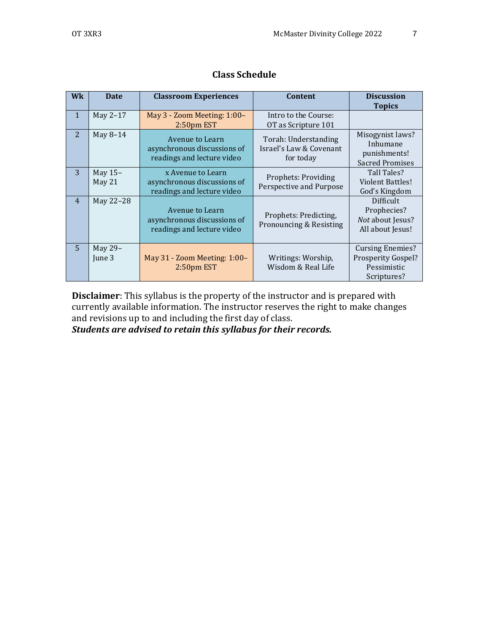| <b>Wk</b>      | <b>Date</b>         | <b>Classroom Experiences</b>                                                   | Content                                                      | <b>Discussion</b>                                                                  |  |
|----------------|---------------------|--------------------------------------------------------------------------------|--------------------------------------------------------------|------------------------------------------------------------------------------------|--|
|                |                     |                                                                                |                                                              | <b>Topics</b>                                                                      |  |
| $\mathbf{1}$   | May 2-17            | May 3 - Zoom Meeting: 1:00-                                                    | Intro to the Course:                                         |                                                                                    |  |
|                |                     | 2:50pm EST                                                                     | OT as Scripture 101                                          |                                                                                    |  |
| $\overline{2}$ | May 8-14            | Avenue to Learn<br>asynchronous discussions of<br>readings and lecture video   | Torah: Understanding<br>Israel's Law & Covenant<br>for today | Misogynist laws?<br>Inhumane<br>punishments!<br><b>Sacred Promises</b>             |  |
| 3              | May $15-$<br>May 21 | x Avenue to Learn<br>asynchronous discussions of<br>readings and lecture video | <b>Prophets: Providing</b><br>Perspective and Purpose        | Tall Tales?<br>Violent Battles!<br>God's Kingdom                                   |  |
| $\overline{4}$ | May 22-28           | Avenue to Learn<br>asynchronous discussions of<br>readings and lecture video   | Prophets: Predicting,<br>Pronouncing & Resisting             | Difficult<br>Prophecies?<br>Not about Jesus?<br>All about Jesus!                   |  |
| $\overline{5}$ | May 29-<br>June 3   | May 31 - Zoom Meeting: 1:00-<br>$2:50pm$ EST                                   | Writings: Worship,<br>Wisdom & Real Life                     | <b>Cursing Enemies?</b><br><b>Prosperity Gospel?</b><br>Pessimistic<br>Scriptures? |  |

# **Class Schedule**

**Disclaimer**: This syllabus is the property of the instructor and is prepared with currently available information. The instructor reserves the right to make changes and revisions up to and including the first day of class.

*Students are advised to retain this syllabus for their records.*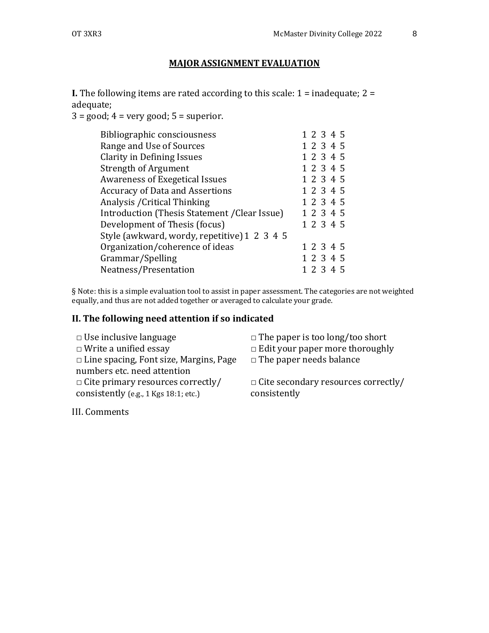# **MAJOR ASSIGNMENT EVALUATION**

**I.** The following items are rated according to this scale:  $1 =$  inadequate;  $2 =$ adequate;

 $3 = \text{good}$ ;  $4 = \text{very good}$ ;  $5 = \text{superior}$ .

| Bibliographic consciousness                   | 1 2 3 4 5 |
|-----------------------------------------------|-----------|
| Range and Use of Sources                      | 1 2 3 4 5 |
| <b>Clarity in Defining Issues</b>             | 1 2 3 4 5 |
| <b>Strength of Argument</b>                   | 1 2 3 4 5 |
| <b>Awareness of Exegetical Issues</b>         | 1 2 3 4 5 |
| <b>Accuracy of Data and Assertions</b>        | 1 2 3 4 5 |
| Analysis / Critical Thinking                  | 1 2 3 4 5 |
| Introduction (Thesis Statement / Clear Issue) | 1 2 3 4 5 |
| Development of Thesis (focus)                 | 1 2 3 4 5 |
| Style (awkward, wordy, repetitive) 1 2 3 4 5  |           |
| Organization/coherence of ideas               | 1 2 3 4 5 |
| Grammar/Spelling                              | 1 2 3 4 5 |
| Neatness/Presentation                         | 1 2 3 4 5 |
|                                               |           |

§ Note: this is a simple evaluation tool to assist in paper assessment. The categories are not weighted equally, and thus are not added together or averaged to calculate your grade.

# **II. The following need attention if so indicated**

| $\Box$ Use inclusive language<br>$\Box$ Write a unified essay           | $\Box$ The paper is too long/too short<br>$\Box$ Edit your paper more thoroughly |
|-------------------------------------------------------------------------|----------------------------------------------------------------------------------|
| $\Box$ Line spacing, Font size, Margins, Page                           | $\Box$ The paper needs balance                                                   |
| numbers etc. need attention<br>$\Box$ Cite primary resources correctly/ | $\Box$ Cite secondary resources correctly/                                       |
| consistently (e.g., 1 Kgs 18:1; etc.)                                   | consistently                                                                     |

III. Comments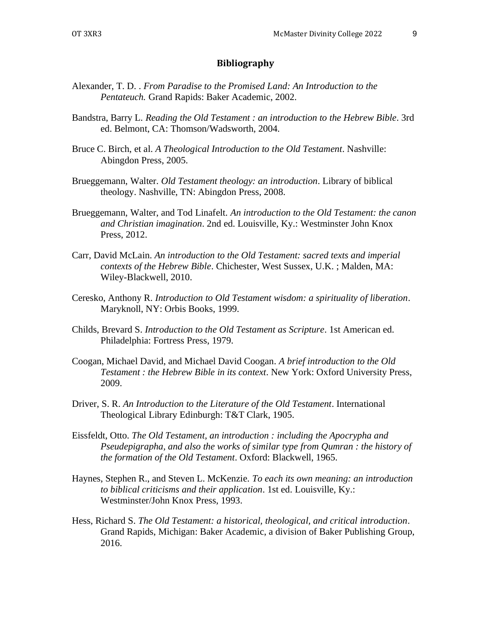#### **Bibliography**

- Alexander, T. D. . *From Paradise to the Promised Land: An Introduction to the Pentateuch.* Grand Rapids: Baker Academic, 2002.
- Bandstra, Barry L. *Reading the Old Testament : an introduction to the Hebrew Bible*. 3rd ed. Belmont, CA: Thomson/Wadsworth, 2004.
- Bruce C. Birch, et al. *A Theological Introduction to the Old Testament*. Nashville: Abingdon Press, 2005.
- Brueggemann, Walter. *Old Testament theology: an introduction*. Library of biblical theology. Nashville, TN: Abingdon Press, 2008.
- Brueggemann, Walter, and Tod Linafelt. *An introduction to the Old Testament: the canon and Christian imagination*. 2nd ed. Louisville, Ky.: Westminster John Knox Press, 2012.
- Carr, David McLain. *An introduction to the Old Testament: sacred texts and imperial contexts of the Hebrew Bible*. Chichester, West Sussex, U.K. ; Malden, MA: Wiley-Blackwell, 2010.
- Ceresko, Anthony R. *Introduction to Old Testament wisdom: a spirituality of liberation*. Maryknoll, NY: Orbis Books, 1999.
- Childs, Brevard S. *Introduction to the Old Testament as Scripture*. 1st American ed. Philadelphia: Fortress Press, 1979.
- Coogan, Michael David, and Michael David Coogan. *A brief introduction to the Old Testament : the Hebrew Bible in its context*. New York: Oxford University Press, 2009.
- Driver, S. R. *An Introduction to the Literature of the Old Testament*. International Theological Library Edinburgh: T&T Clark, 1905.
- Eissfeldt, Otto. *The Old Testament, an introduction : including the Apocrypha and Pseudepigrapha, and also the works of similar type from Qumran : the history of the formation of the Old Testament*. Oxford: Blackwell, 1965.
- Haynes, Stephen R., and Steven L. McKenzie. *To each its own meaning: an introduction to biblical criticisms and their application*. 1st ed. Louisville, Ky.: Westminster/John Knox Press, 1993.
- Hess, Richard S. *The Old Testament: a historical, theological, and critical introduction*. Grand Rapids, Michigan: Baker Academic, a division of Baker Publishing Group, 2016.